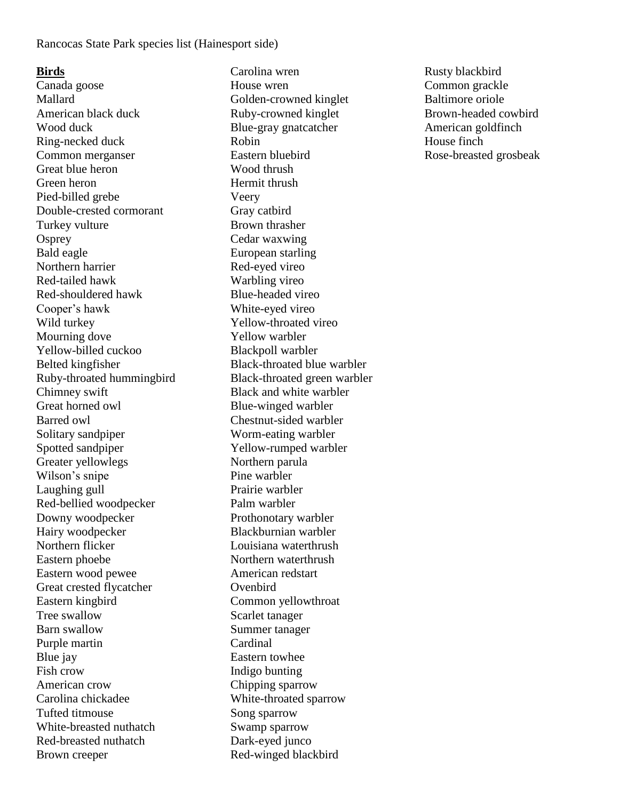# **Birds**

Canada goose Mallard American black duck Wood duck Ring-necked duck Common merganser Great blue heron Green heron Pied-billed grebe Double-crested cormorant Turkey vulture **Osprey** Bald eagle Northern harrier Red-tailed hawk Red-shouldered hawk Cooper's hawk Wild turkey Mourning dove Yellow-billed cuckoo Belted kingfisher Ruby-throated hummingbird Chimney swift Great horned owl Barred owl Solitary sandpiper Spotted sandpiper Greater yellowlegs Wilson's snipe Laughing gull Red-bellied woodpecker Downy woodpecker Hairy woodpecker Northern flicker Eastern phoebe Eastern wood pewee Great crested flycatcher Eastern kingbird Tree swallow Barn swallow Purple martin Blue jay Fish crow American crow Carolina chickadee Tufted titmouse White-breasted nuthatch Red-breasted nuthatch Brown creeper

Carolina wren House wren Golden-crowned kinglet Ruby-crowned kinglet Blue-gray gnatcatcher Robin Eastern bluebird Wood thrush Hermit thrush Veery Gray catbird Brown thrasher Cedar waxwing European starling Red-eyed vireo Warbling vireo Blue-headed vireo White-eyed vireo Yellow-throated vireo Yellow warbler Blackpoll warbler Black-throated blue warbler Black-throated green warbler Black and white warbler Blue-winged warbler Chestnut-sided warbler Worm-eating warbler Yellow-rumped warbler Northern parula Pine warbler Prairie warbler Palm warbler Prothonotary warbler Blackburnian warbler Louisiana waterthrush Northern waterthrush American redstart **Ovenbird** Common yellowthroat Scarlet tanager Summer tanager Cardinal Eastern towhee Indigo bunting Chipping sparrow White-throated sparrow Song sparrow Swamp sparrow Dark-eyed junco Red-winged blackbird

Rusty blackbird Common grackle Baltimore oriole Brown-headed cowbird American goldfinch House finch Rose-breasted grosbeak